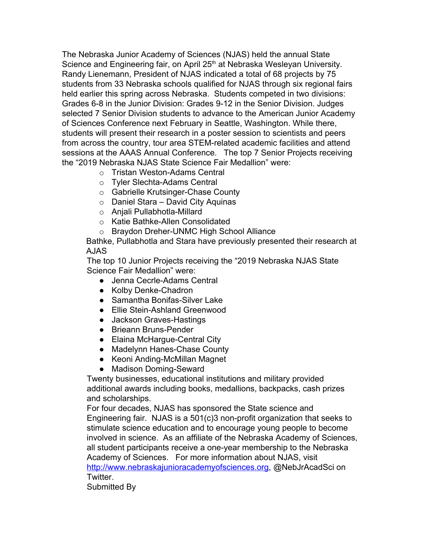The Nebraska Junior Academy of Sciences (NJAS) held the annual State Science and Engineering fair, on April 25<sup>th</sup> at Nebraska Wesleyan University. Randy Lienemann, President of NJAS indicated a total of 68 projects by 75 students from 33 Nebraska schools qualified for NJAS through six regional fairs held earlier this spring across Nebraska. Students competed in two divisions: Grades 6-8 in the Junior Division: Grades 9-12 in the Senior Division. Judges selected 7 Senior Division students to advance to the American Junior Academy of Sciences Conference next February in Seattle, Washington. While there, students will present their research in a poster session to scientists and peers from across the country, tour area STEM-related academic facilities and attend sessions at the AAAS Annual Conference. The top 7 Senior Projects receiving the "2019 Nebraska NJAS State Science Fair Medallion" were:

- o Tristan Weston-Adams Central
- o Tyler Slechta-Adams Central
- o Gabrielle Krutsinger-Chase County
- $\circ$  Daniel Stara David City Aquinas
- o Anjali Pullabhotla-Millard
- o Katie Bathke-Allen Consolidated
- o Braydon Dreher-UNMC High School Alliance

Bathke, Pullabhotla and Stara have previously presented their research at AJAS

The top 10 Junior Projects receiving the "2019 Nebraska NJAS State Science Fair Medallion" were:

- Jenna Cecrle-Adams Central
- Kolby Denke-Chadron
- Samantha Bonifas-Silver Lake
- Ellie Stein-Ashland Greenwood
- Jackson Graves-Hastings
- Brieann Bruns-Pender
- Elaina McHargue-Central City
- Madelynn Hanes-Chase County
- Keoni Anding-McMillan Magnet
- Madison Doming-Seward

Twenty businesses, educational institutions and military provided additional awards including books, medallions, backpacks, cash prizes and scholarships.

For four decades, NJAS has sponsored the State science and Engineering fair. NJAS is a 501(c)3 non-profit organization that seeks to stimulate science education and to encourage young people to become involved in science. As an affiliate of the Nebraska Academy of Sciences, all student participants receive a one-year membership to the Nebraska Academy of Sciences. For more information about NJAS, visit [http://www.nebraskajunioracademyofsciences.org](http://www.nebraskajunioracademyofsciences.org/), @NebJrAcadSci on Twitter.

Submitted By